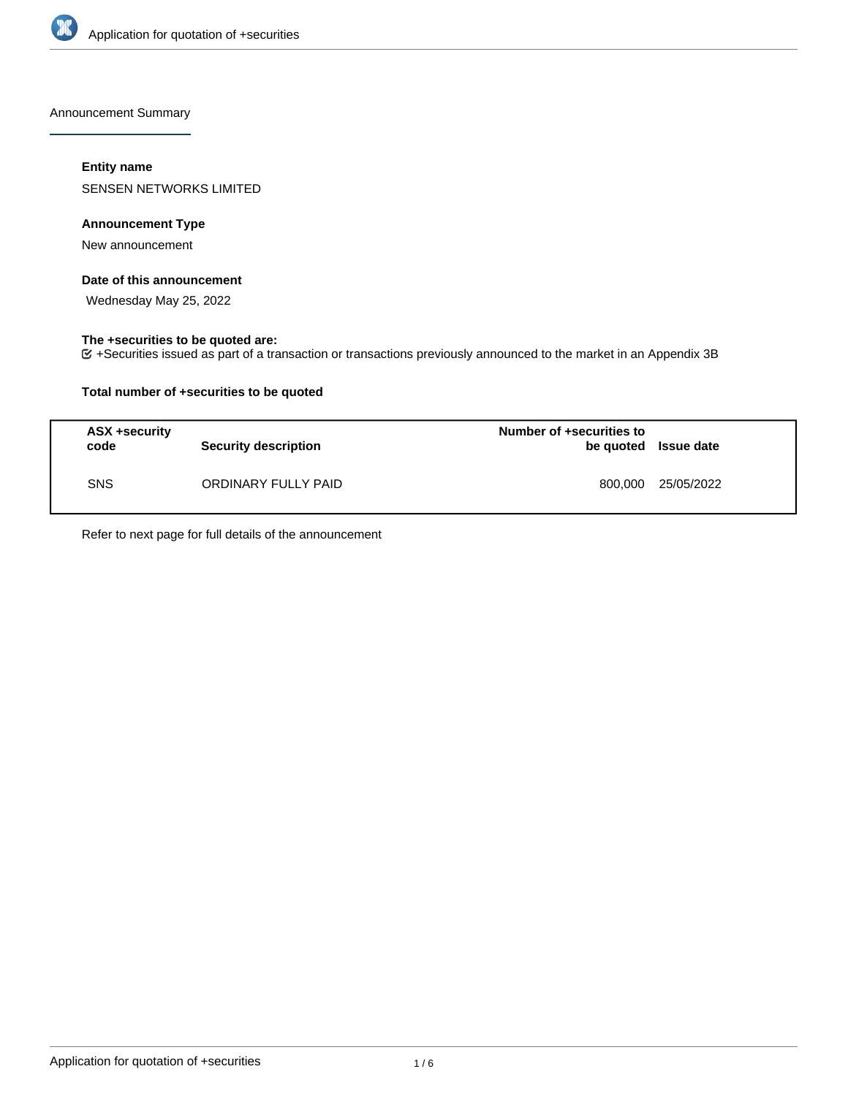

Announcement Summary

## **Entity name**

SENSEN NETWORKS LIMITED

## **Announcement Type**

New announcement

### **Date of this announcement**

Wednesday May 25, 2022

## **The +securities to be quoted are:**

+Securities issued as part of a transaction or transactions previously announced to the market in an Appendix 3B

## **Total number of +securities to be quoted**

| ASX +security<br>code | <b>Security description</b> | Number of +securities to<br>be quoted Issue date |            |
|-----------------------|-----------------------------|--------------------------------------------------|------------|
| <b>SNS</b>            | ORDINARY FULLY PAID         | 800.000                                          | 25/05/2022 |

Refer to next page for full details of the announcement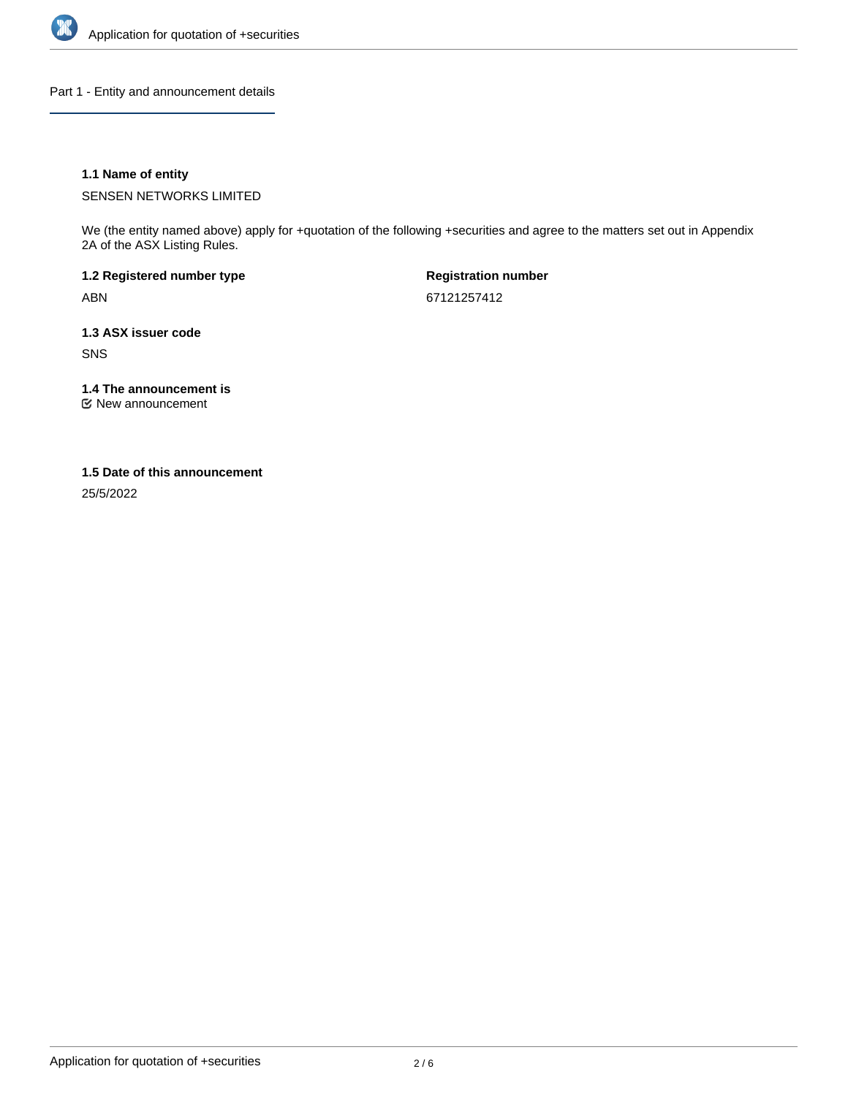

Part 1 - Entity and announcement details

## **1.1 Name of entity**

SENSEN NETWORKS LIMITED

We (the entity named above) apply for +quotation of the following +securities and agree to the matters set out in Appendix 2A of the ASX Listing Rules.

**1.2 Registered number type** ABN

**Registration number** 67121257412

**1.3 ASX issuer code** SNS

**1.4 The announcement is**

New announcement

#### **1.5 Date of this announcement**

25/5/2022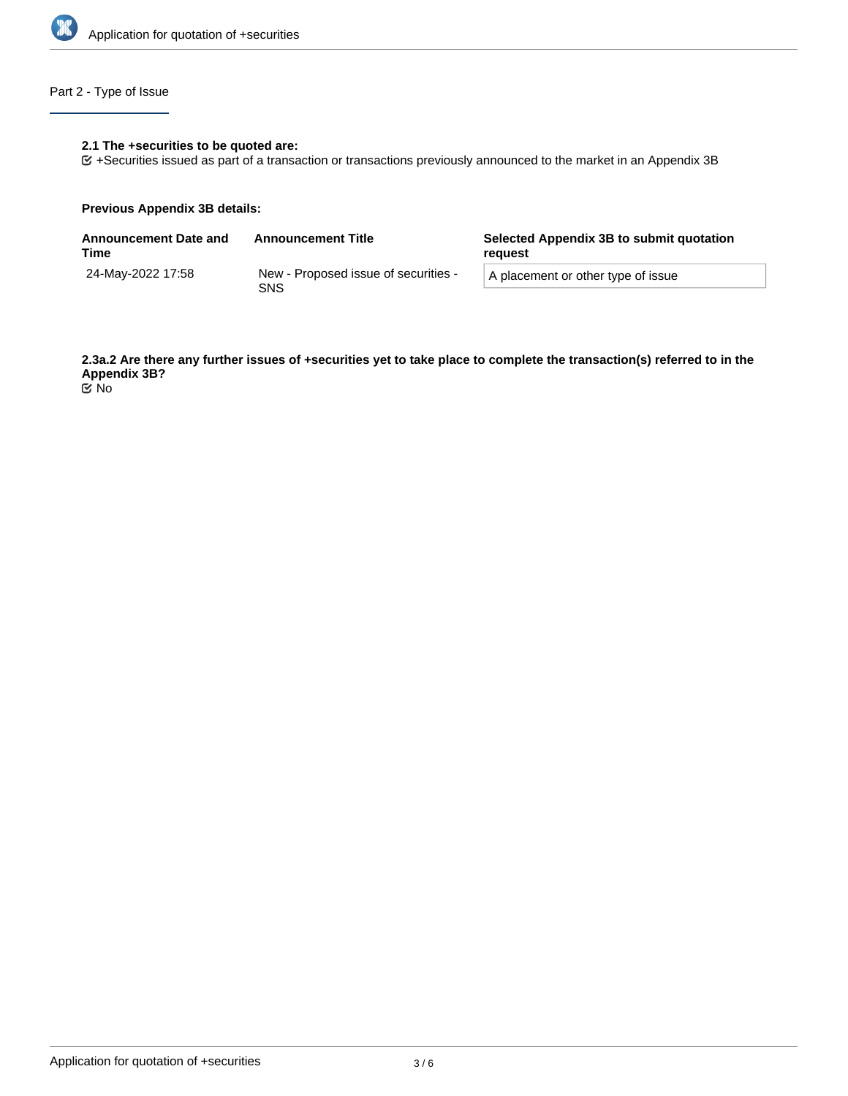

# Part 2 - Type of Issue

## **2.1 The +securities to be quoted are:**

+Securities issued as part of a transaction or transactions previously announced to the market in an Appendix 3B

#### **Previous Appendix 3B details:**

| <b>Announcement Date and</b><br>Time | <b>Announcement Title</b>                   | Selected Appendix 3B to submit quotation<br>reguest |  |
|--------------------------------------|---------------------------------------------|-----------------------------------------------------|--|
| 24-Mav-2022 17:58                    | New - Proposed issue of securities -<br>SNS | A placement or other type of issue                  |  |

**2.3a.2 Are there any further issues of +securities yet to take place to complete the transaction(s) referred to in the Appendix 3B?** No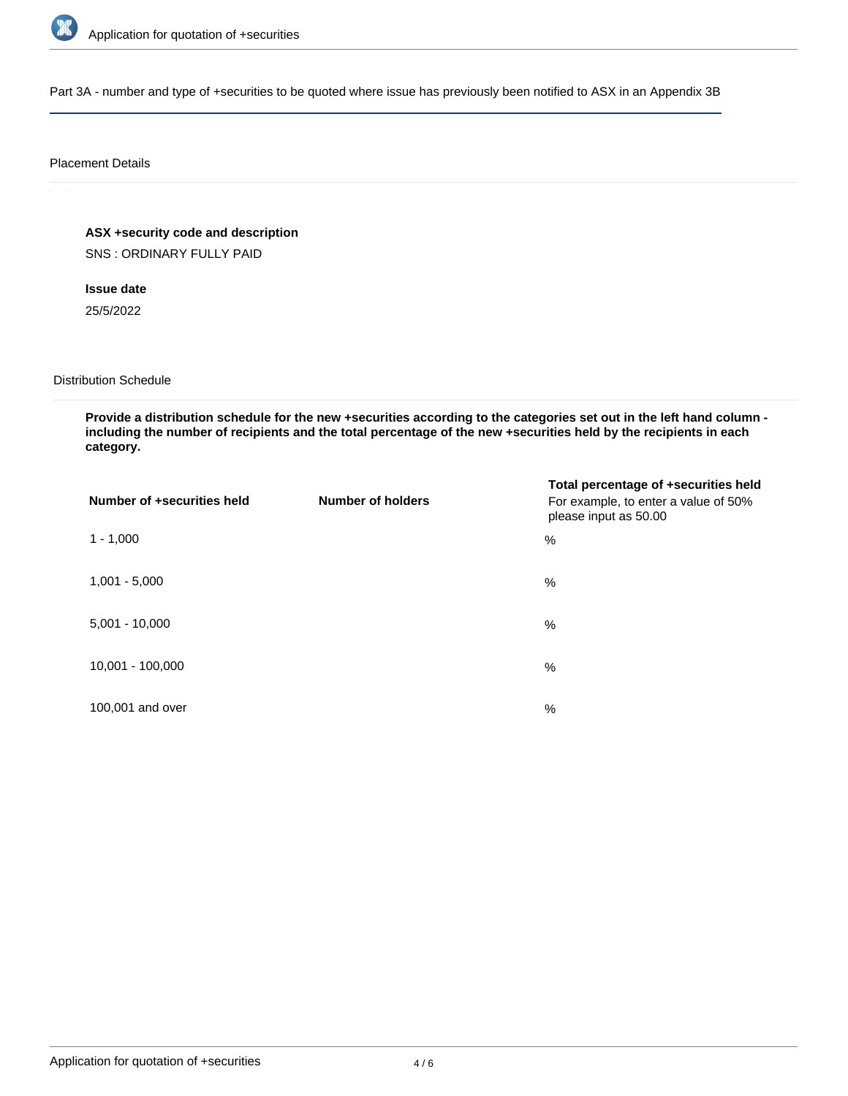

Part 3A - number and type of +securities to be quoted where issue has previously been notified to ASX in an Appendix 3B

#### Placement Details

**ASX +security code and description**

SNS : ORDINARY FULLY PAID

**Issue date** 25/5/2022

Distribution Schedule

**Provide a distribution schedule for the new +securities according to the categories set out in the left hand column including the number of recipients and the total percentage of the new +securities held by the recipients in each category.**

| Number of +securities held | <b>Number of holders</b> | Total percentage of +securities held<br>For example, to enter a value of 50%<br>please input as 50.00 |
|----------------------------|--------------------------|-------------------------------------------------------------------------------------------------------|
| $1 - 1,000$                |                          | %                                                                                                     |
| $1,001 - 5,000$            |                          | $\%$                                                                                                  |
| $5,001 - 10,000$           |                          | %                                                                                                     |
| 10,001 - 100,000           |                          | $\frac{0}{0}$                                                                                         |
| 100,001 and over           |                          | $\%$                                                                                                  |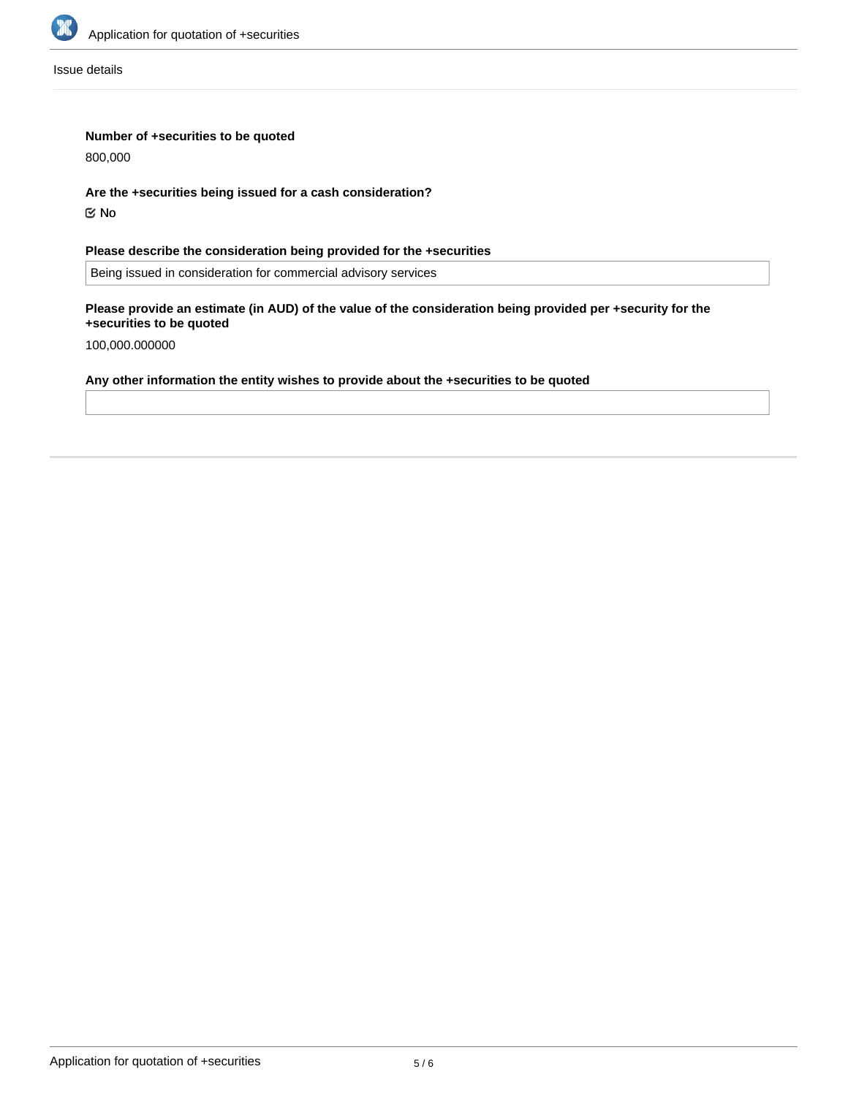

Issue details

## **Number of +securities to be quoted**

800,000

**Are the +securities being issued for a cash consideration?**

No

# **Please describe the consideration being provided for the +securities**

Being issued in consideration for commercial advisory services

#### **Please provide an estimate (in AUD) of the value of the consideration being provided per +security for the +securities to be quoted**

100,000.000000

# **Any other information the entity wishes to provide about the +securities to be quoted**